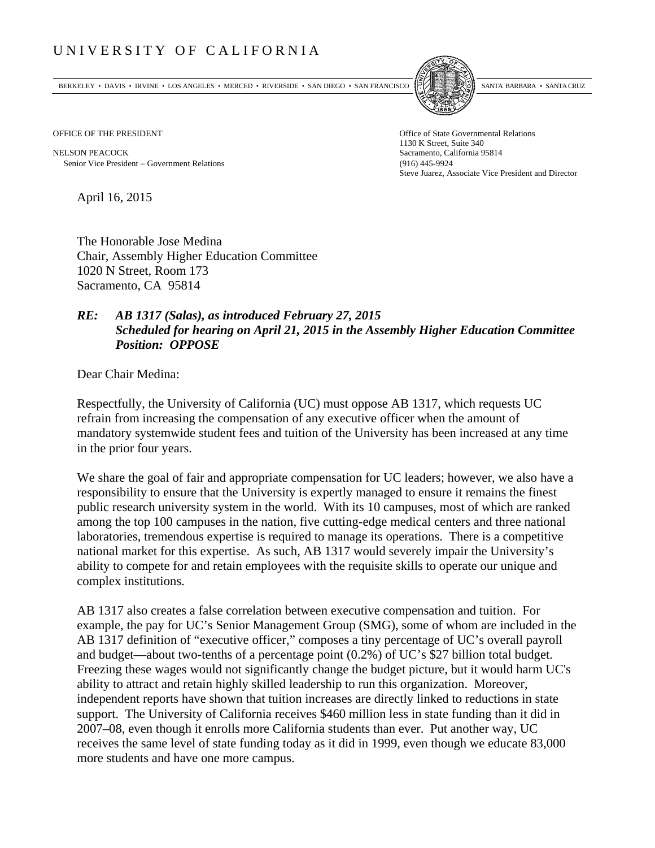## UNIVERSITY OF CALIFORNIA

BERKELEY • DAVIS • IRVINE • LOS ANGELES • MERCED • RIVERSIDE • SAN DIEGO • SAN FRANCISCO SANTA BARBARA • SANTA CRUZ



OFFICE OF THE PRESIDENT STATES OF THE PRESIDENT

NELSON PEACOCK Sacramento, California 95814 Senior Vice President Government Relations (916) 445-9924

1130 K Street, Suite 340 Steve Juarez, Associate Vice President and Director

April 16, 2015

The Honorable Jose Medina Chair, Assembly Higher Education Committee 1020 N Street, Room 173 Sacramento, CA 95814

## *RE: AB 1317 (Salas), as introduced February 27, 2015 Scheduled for hearing on April 21, 2015 in the Assembly Higher Education Committee Position: OPPOSE*

Dear Chair Medina:

Respectfully, the University of California (UC) must oppose AB 1317, which requests UC refrain from increasing the compensation of any executive officer when the amount of mandatory systemwide student fees and tuition of the University has been increased at any time in the prior four years.

We share the goal of fair and appropriate compensation for UC leaders; however, we also have a responsibility to ensure that the University is expertly managed to ensure it remains the finest public research university system in the world. With its 10 campuses, most of which are ranked among the top 100 campuses in the nation, five cutting-edge medical centers and three national laboratories, tremendous expertise is required to manage its operations. There is a competitive national market for this expertise. As such, AB 1317 would severely impair the University's ability to compete for and retain employees with the requisite skills to operate our unique and complex institutions.

AB 1317 also creates a false correlation between executive compensation and tuition. For example, the pay for UC's Senior Management Group (SMG), some of whom are included in the AB 1317 definition of "executive officer," composes a tiny percentage of UC's overall payroll and budget—about two-tenths of a percentage point (0.2%) of UC's \$27 billion total budget. Freezing these wages would not significantly change the budget picture, but it would harm UC's ability to attract and retain highly skilled leadership to run this organization. Moreover, independent reports have shown that tuition increases are directly linked to reductions in state support. The University of California receives \$460 million less in state funding than it did in 2007–08, even though it enrolls more California students than ever. Put another way, UC receives the same level of state funding today as it did in 1999, even though we educate 83,000 more students and have one more campus.